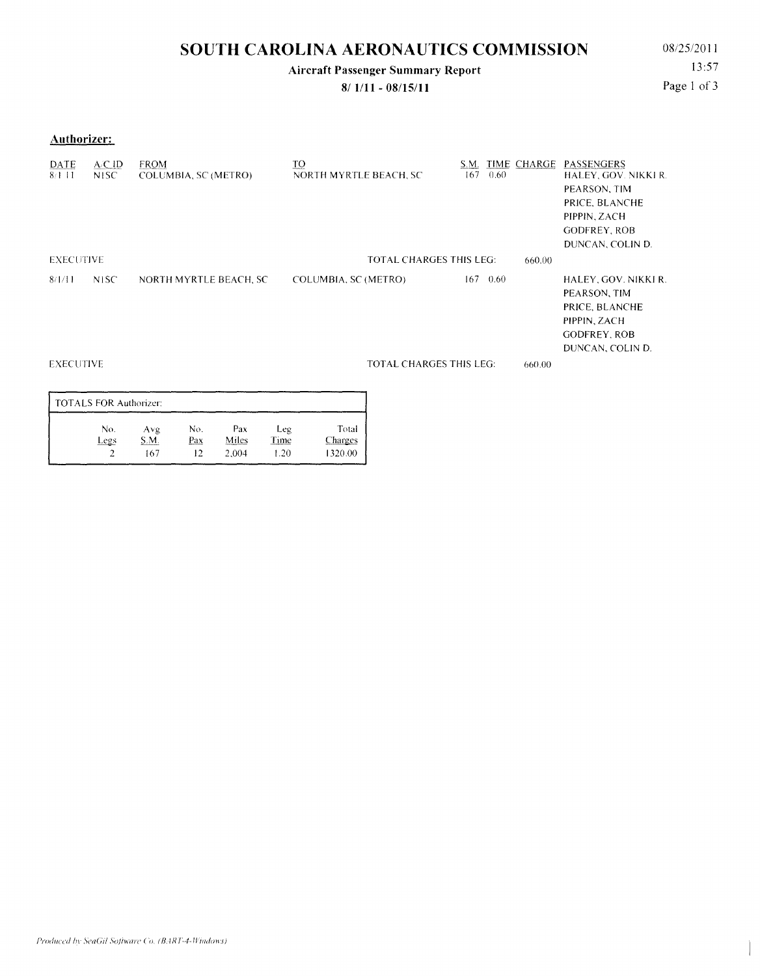# **SOUTH CAROLINA AERONAUTICS COMMISSION** 08/25/2011

## **Aircraft Passenger Summary Report**

**8/ 1/ll - 08/15/11** 

13:57 Page 1 of 3

**Authorizer:** 

| DATE<br>$8/1$ 11 | ACD<br>N <sub>1</sub> SC | <b>FROM</b><br>COLUMBIA, SC (METRO) | <u>TO</u><br>NORTH MYRTLE BEACH, SC      | S.M.<br>167 | 0.60 | TIME CHARGE | PASSENGERS<br>HALEY, GOV. NIKKI R.<br>PEARSON, TIM<br>PRICE, BLANCHE<br>PIPPIN, ZACH<br><b>GODFREY, ROB</b><br>DUNCAN, COLIN D. |
|------------------|--------------------------|-------------------------------------|------------------------------------------|-------------|------|-------------|---------------------------------------------------------------------------------------------------------------------------------|
| <b>EXECUTIVE</b> |                          |                                     | <b>TOTAL CHARGES THIS LEG:</b><br>660.00 |             |      |             |                                                                                                                                 |
| 8/1/11           | <b>NISC</b>              | NORTH MYRTLE BEACH, SC              | COLUMBIA, SC (METRO)                     | 167         | 0.60 |             | HALEY, GOV. NIKKI R.<br>PEARSON, TIM<br>PRICE, BLANCHE<br>PIPPIN, ZACH<br><b>GODFREY, ROB</b><br>DUNCAN, COLIN D.               |
| <b>EXECUTIVE</b> |                          |                                     | <b>TOTAL CHARGES THIS LEG:</b>           |             |      | 660.00      |                                                                                                                                 |

| <b>TOTALS FOR Authorizer:</b> |             |            |              |                    |                         |  |  |  |  |
|-------------------------------|-------------|------------|--------------|--------------------|-------------------------|--|--|--|--|
| No.<br>Legs                   | Avg<br>S.M. | No.<br>Pax | Pax<br>Miles | Leg<br><b>Time</b> | Total<br><b>Charges</b> |  |  |  |  |
|                               | 167         |            | 2.004        | 1.20               | 1320.00                 |  |  |  |  |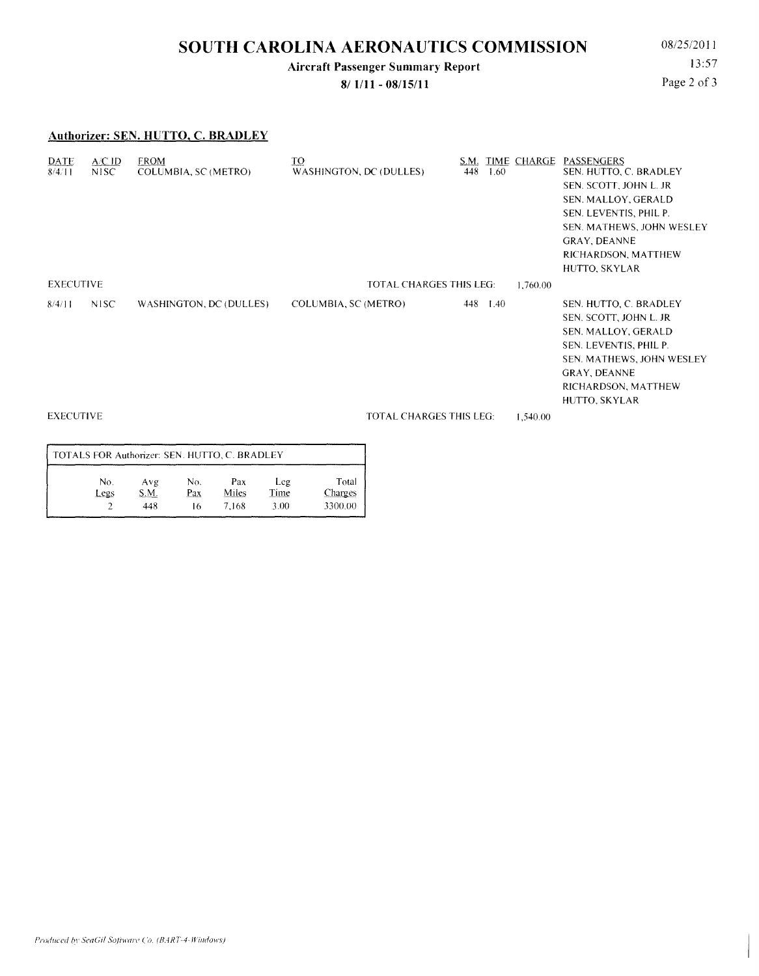# **SOUTH CAROLINA AERONAUTICS COMMISSION** 08/25/2011

### **Aircraft Passenger Summary Report**

**8/ 1/11 - 08/15/11** 

13:57 Page 2 of 3

#### **Authorizer: SEN. HUTTO, C. BRADLEY**

| <b>DATE</b><br>8/4/11 | A/C ID<br>NISC.   | <b>FROM</b><br>COLUMBIA, SC (METRO) | $\underline{\text{TO}}$<br>WASHINGTON, DC (DULLES) | 448                            | 1.60 | S.M. TIME CHARGE                                                                                                                                                                       | PASSENGERS<br>SEN. HUTTO, C. BRADLEY<br>SEN. SCOTT, JOHN L. JR<br>SEN. MALLOY, GERALD<br>SEN. LEVENTIS, PHIL P.<br>SEN. MATHEWS, JOHN WESLEY<br>GRAY, DEANNE<br>RICHARDSON, MATTHEW<br>HUTTO, SKYLAR |
|-----------------------|-------------------|-------------------------------------|----------------------------------------------------|--------------------------------|------|----------------------------------------------------------------------------------------------------------------------------------------------------------------------------------------|------------------------------------------------------------------------------------------------------------------------------------------------------------------------------------------------------|
| <b>EXECUTIVE</b>      |                   |                                     | <b>TOTAL CHARGES THIS LEG:</b>                     |                                |      |                                                                                                                                                                                        |                                                                                                                                                                                                      |
| 8/4/11                | N <sub>1</sub> SC | WASHINGTON, DC (DULLES)             | COLUMBIA, SC (METRO)<br>448 1.40                   |                                |      | SEN. HUTTO, C. BRADLEY<br>SEN. SCOTT, JOHN L. JR<br>SEN. MALLOY, GERALD<br>SEN. LEVENTIS, PHIL P.<br>SEN. MATHEWS, JOHN WESLEY<br>GRAY, DEANNE<br>RICHARDSON, MATTHEW<br>HUTTO, SKYLAR |                                                                                                                                                                                                      |
| <b>EXECUTIVE</b>      |                   |                                     |                                                    | <b>TOTAL CHARGES THIS LEG:</b> |      |                                                                                                                                                                                        |                                                                                                                                                                                                      |
|                       |                   |                                     |                                                    |                                |      |                                                                                                                                                                                        |                                                                                                                                                                                                      |

| TOTALS FOR Authorizer: SEN. HUTTO, C. BRADLEY |      |      |     |       |      |                |  |  |  |  |
|-----------------------------------------------|------|------|-----|-------|------|----------------|--|--|--|--|
|                                               | No.  | Avg  | No. | Pax   | Leg  | Total          |  |  |  |  |
|                                               | Legs | S.M. | Pax | Miles | Time | <b>Charges</b> |  |  |  |  |
|                                               |      | 448  | 16  | 7.168 | 3.00 | 3300.00        |  |  |  |  |